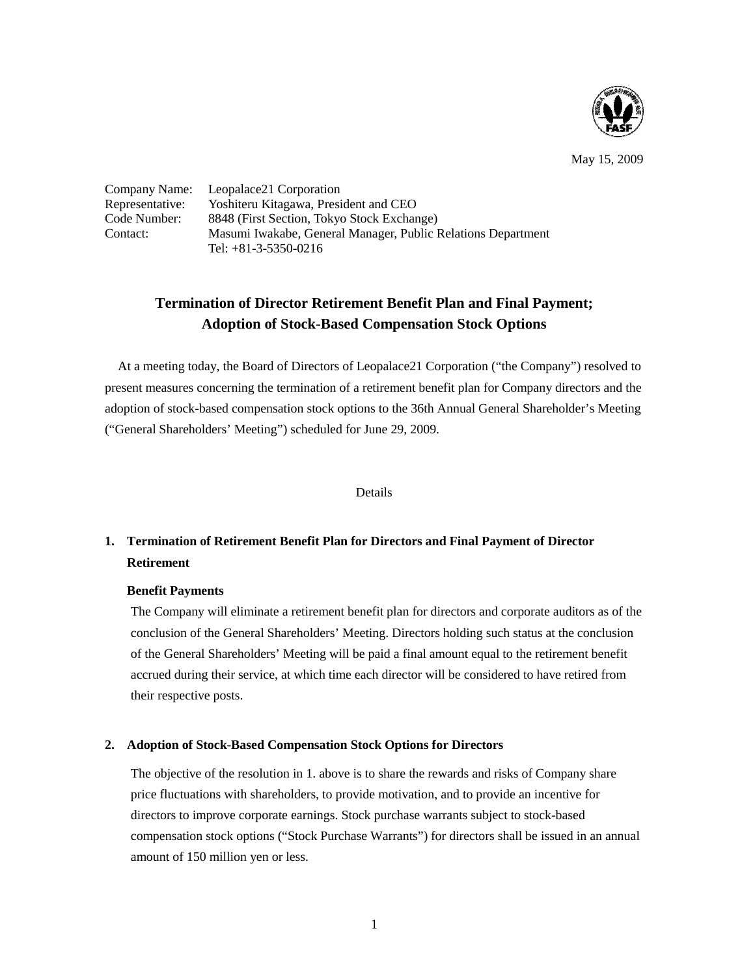

May 15, 2009

Company Name: Leopalace21 Corporation<br>Representative: Yoshiteru Kitagawa, Presi Yoshiteru Kitagawa, President and CEO Code Number: 8848 (First Section, Tokyo Stock Exchange) Contact: Masumi Iwakabe, General Manager, Public Relations Department Tel: +81-3-5350-0216

# **Termination of Director Retirement Benefit Plan and Final Payment; Adoption of Stock-Based Compensation Stock Options**

At a meeting today, the Board of Directors of Leopalace21 Corporation ("the Company") resolved to present measures concerning the termination of a retirement benefit plan for Company directors and the adoption of stock-based compensation stock options to the 36th Annual General Shareholder's Meeting ("General Shareholders' Meeting") scheduled for June 29, 2009.

## Details

## **1. Termination of Retirement Benefit Plan for Directors and Final Payment of Director Retirement**

## **Benefit Payments**

The Company will eliminate a retirement benefit plan for directors and corporate auditors as of the conclusion of the General Shareholders' Meeting. Directors holding such status at the conclusion of the General Shareholders' Meeting will be paid a final amount equal to the retirement benefit accrued during their service, at which time each director will be considered to have retired from their respective posts.

## **2. Adoption of Stock-Based Compensation Stock Options for Directors**

The objective of the resolution in 1. above is to share the rewards and risks of Company share price fluctuations with shareholders, to provide motivation, and to provide an incentive for directors to improve corporate earnings. Stock purchase warrants subject to stock-based compensation stock options ("Stock Purchase Warrants") for directors shall be issued in an annual amount of 150 million yen or less.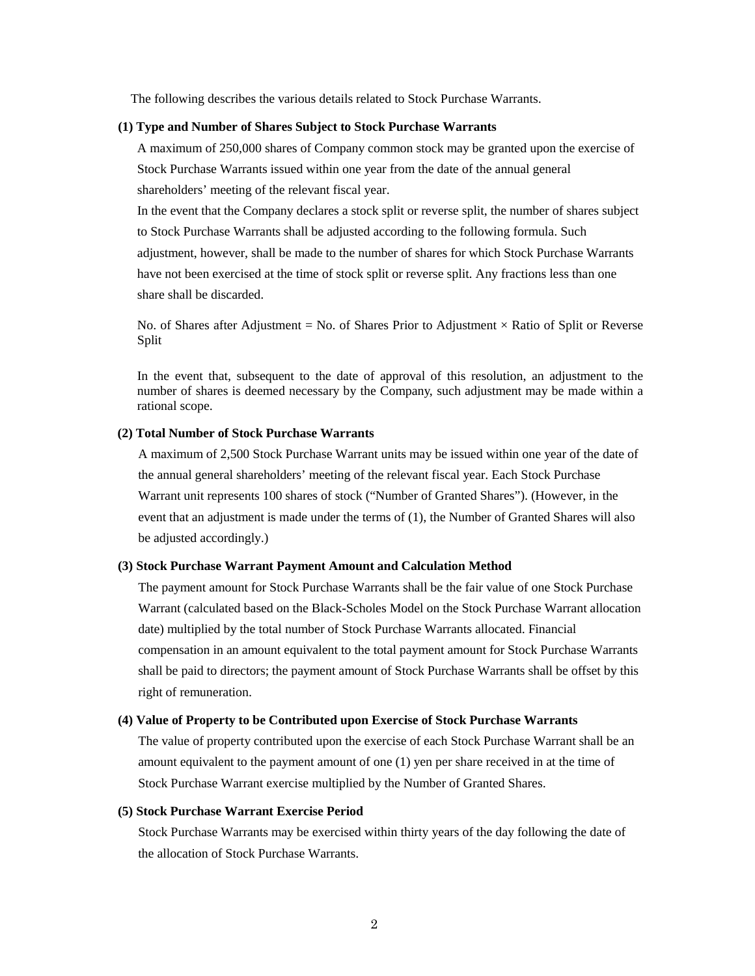The following describes the various details related to Stock Purchase Warrants.

#### **(1) Type and Number of Shares Subject to Stock Purchase Warrants**

A maximum of 250,000 shares of Company common stock may be granted upon the exercise of Stock Purchase Warrants issued within one year from the date of the annual general shareholders' meeting of the relevant fiscal year.

In the event that the Company declares a stock split or reverse split, the number of shares subject to Stock Purchase Warrants shall be adjusted according to the following formula. Such adjustment, however, shall be made to the number of shares for which Stock Purchase Warrants have not been exercised at the time of stock split or reverse split. Any fractions less than one share shall be discarded.

No. of Shares after Adjustment = No. of Shares Prior to Adjustment  $\times$  Ratio of Split or Reverse Split

In the event that, subsequent to the date of approval of this resolution, an adjustment to the number of shares is deemed necessary by the Company, such adjustment may be made within a rational scope.

## **(2) Total Number of Stock Purchase Warrants**

A maximum of 2,500 Stock Purchase Warrant units may be issued within one year of the date of the annual general shareholders' meeting of the relevant fiscal year. Each Stock Purchase Warrant unit represents 100 shares of stock ("Number of Granted Shares"). (However, in the event that an adjustment is made under the terms of (1), the Number of Granted Shares will also be adjusted accordingly.)

#### **(3) Stock Purchase Warrant Payment Amount and Calculation Method**

The payment amount for Stock Purchase Warrants shall be the fair value of one Stock Purchase Warrant (calculated based on the Black-Scholes Model on the Stock Purchase Warrant allocation date) multiplied by the total number of Stock Purchase Warrants allocated. Financial compensation in an amount equivalent to the total payment amount for Stock Purchase Warrants shall be paid to directors; the payment amount of Stock Purchase Warrants shall be offset by this right of remuneration.

## **(4) Value of Property to be Contributed upon Exercise of Stock Purchase Warrants**

The value of property contributed upon the exercise of each Stock Purchase Warrant shall be an amount equivalent to the payment amount of one (1) yen per share received in at the time of Stock Purchase Warrant exercise multiplied by the Number of Granted Shares.

## **(5) Stock Purchase Warrant Exercise Period**

Stock Purchase Warrants may be exercised within thirty years of the day following the date of the allocation of Stock Purchase Warrants.